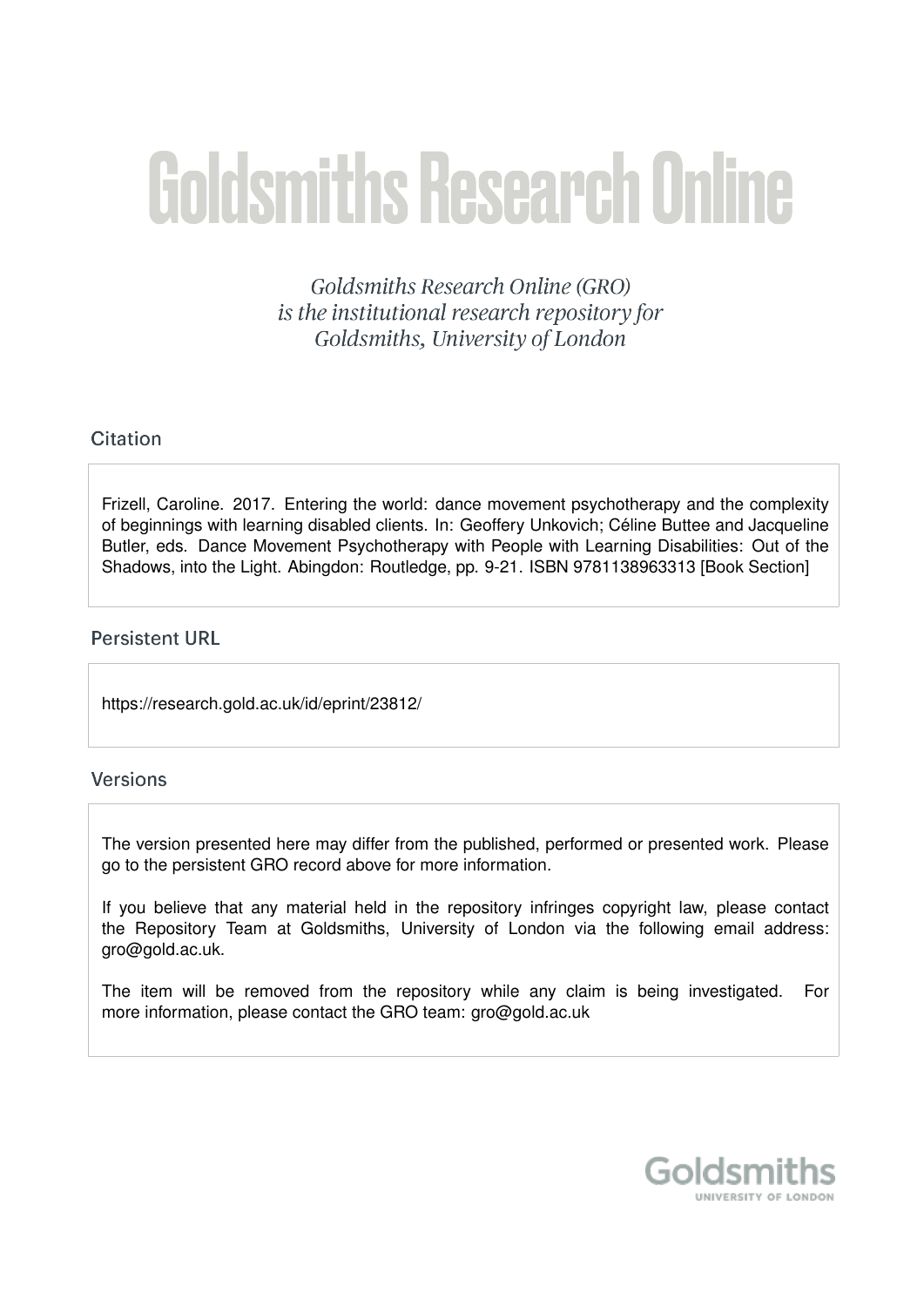# **Goldsmiths Research Online**

Goldsmiths Research Online (GRO) is the institutional research repository for Goldsmiths, University of London

# Citation

Frizell, Caroline. 2017. Entering the world: dance movement psychotherapy and the complexity of beginnings with learning disabled clients. In: Geoffery Unkovich; Celine Buttee and Jacqueline ´ Butler, eds. Dance Movement Psychotherapy with People with Learning Disabilities: Out of the Shadows, into the Light. Abingdon: Routledge, pp. 9-21. ISBN 9781138963313 [Book Section]

# **Persistent URL**

https://research.gold.ac.uk/id/eprint/23812/

# Versions

The version presented here may differ from the published, performed or presented work. Please go to the persistent GRO record above for more information.

If you believe that any material held in the repository infringes copyright law, please contact the Repository Team at Goldsmiths, University of London via the following email address: gro@gold.ac.uk.

The item will be removed from the repository while any claim is being investigated. For more information, please contact the GRO team: gro@gold.ac.uk

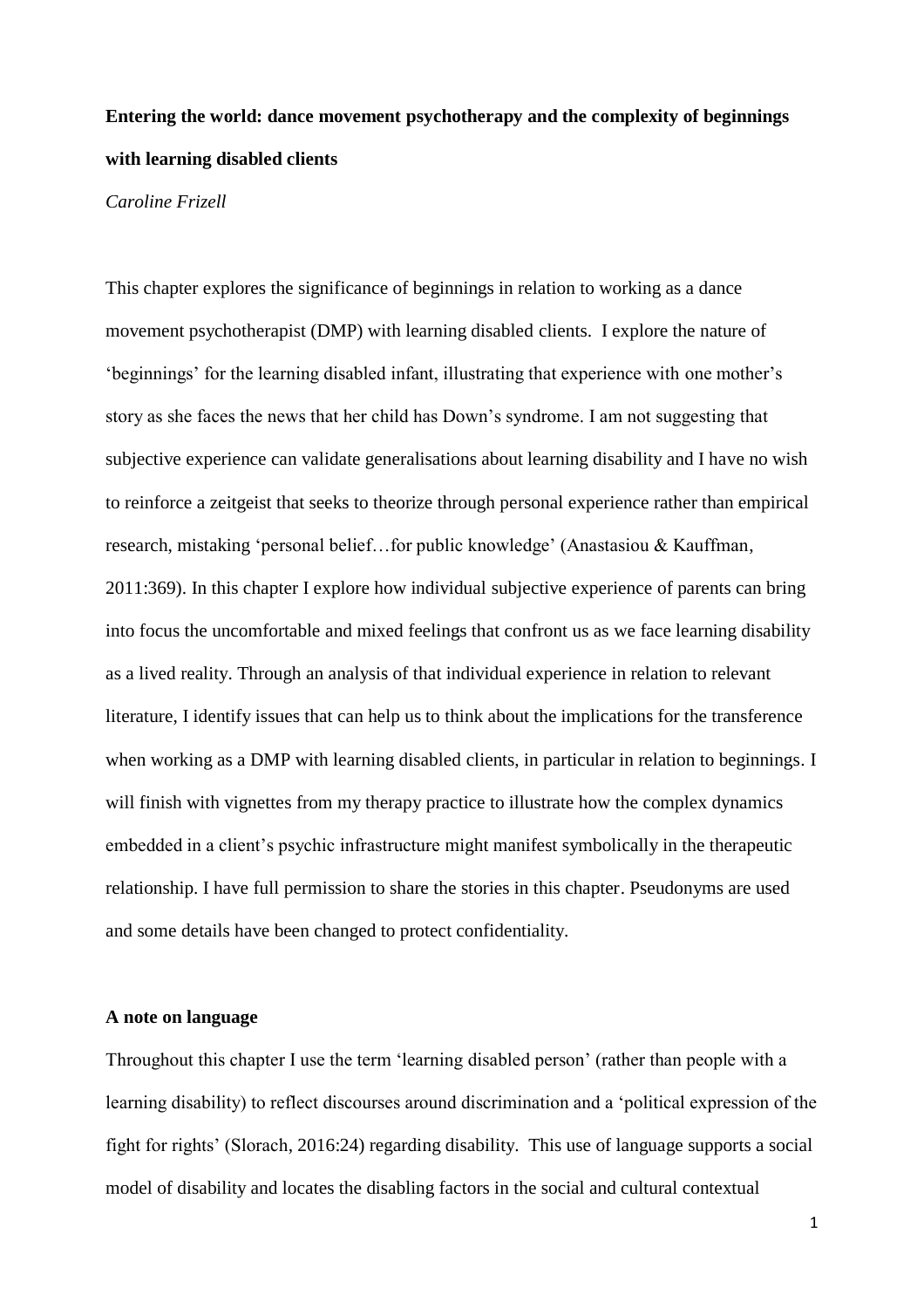# **Entering the world: dance movement psychotherapy and the complexity of beginnings with learning disabled clients**

#### *Caroline Frizell*

This chapter explores the significance of beginnings in relation to working as a dance movement psychotherapist (DMP) with learning disabled clients. I explore the nature of 'beginnings' for the learning disabled infant, illustrating that experience with one mother's story as she faces the news that her child has Down's syndrome. I am not suggesting that subjective experience can validate generalisations about learning disability and I have no wish to reinforce a zeitgeist that seeks to theorize through personal experience rather than empirical research, mistaking 'personal belief…for public knowledge' (Anastasiou & Kauffman, 2011:369). In this chapter I explore how individual subjective experience of parents can bring into focus the uncomfortable and mixed feelings that confront us as we face learning disability as a lived reality. Through an analysis of that individual experience in relation to relevant literature, I identify issues that can help us to think about the implications for the transference when working as a DMP with learning disabled clients, in particular in relation to beginnings. I will finish with vignettes from my therapy practice to illustrate how the complex dynamics embedded in a client's psychic infrastructure might manifest symbolically in the therapeutic relationship. I have full permission to share the stories in this chapter. Pseudonyms are used and some details have been changed to protect confidentiality.

## **A note on language**

Throughout this chapter I use the term 'learning disabled person' (rather than people with a learning disability) to reflect discourses around discrimination and a 'political expression of the fight for rights' (Slorach, 2016:24) regarding disability. This use of language supports a social model of disability and locates the disabling factors in the social and cultural contextual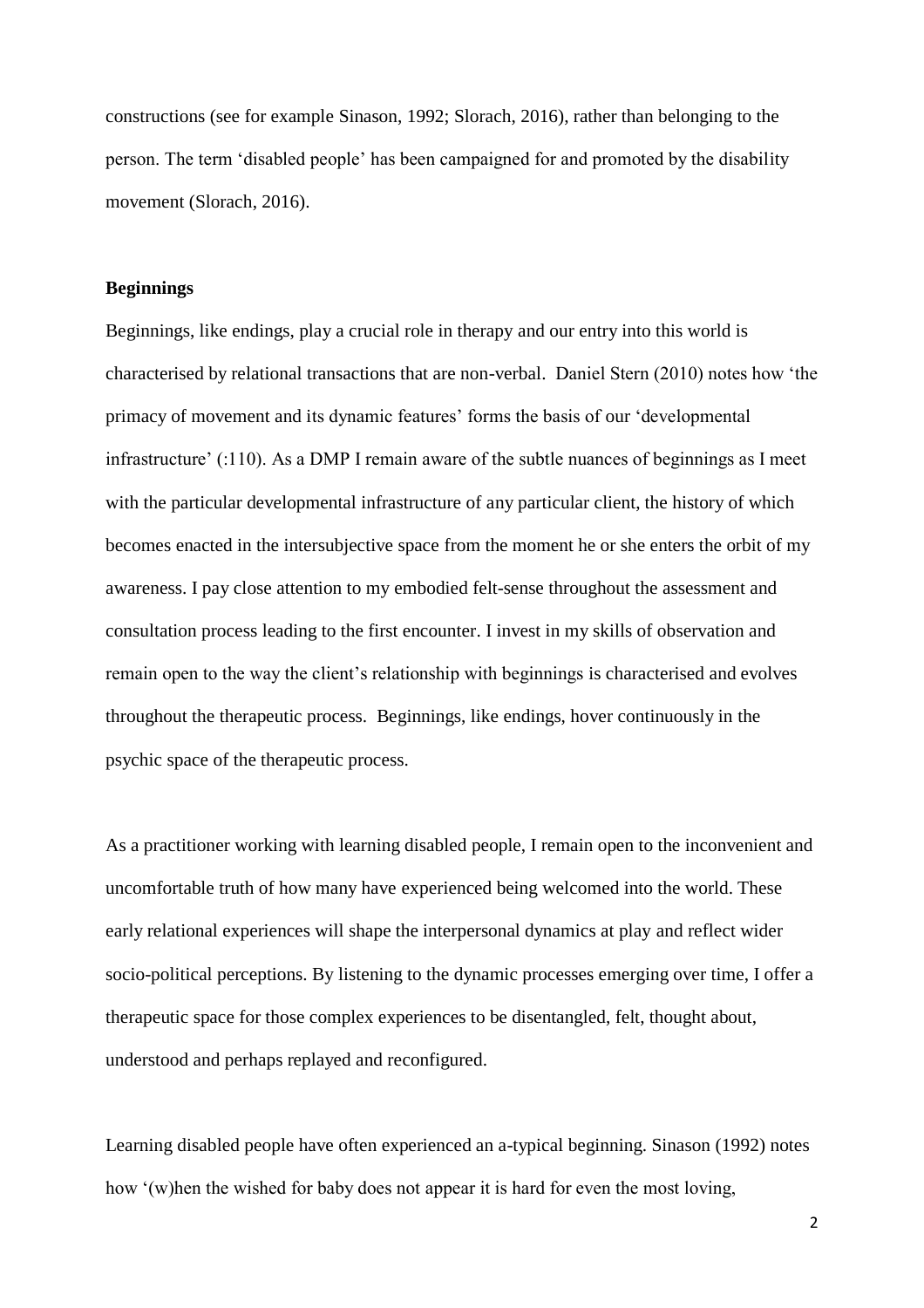constructions (see for example Sinason, 1992; Slorach, 2016), rather than belonging to the person. The term 'disabled people' has been campaigned for and promoted by the disability movement (Slorach, 2016).

#### **Beginnings**

Beginnings, like endings, play a crucial role in therapy and our entry into this world is characterised by relational transactions that are non-verbal. Daniel Stern (2010) notes how 'the primacy of movement and its dynamic features' forms the basis of our 'developmental infrastructure' (:110). As a DMP I remain aware of the subtle nuances of beginnings as I meet with the particular developmental infrastructure of any particular client, the history of which becomes enacted in the intersubjective space from the moment he or she enters the orbit of my awareness. I pay close attention to my embodied felt-sense throughout the assessment and consultation process leading to the first encounter. I invest in my skills of observation and remain open to the way the client's relationship with beginnings is characterised and evolves throughout the therapeutic process. Beginnings, like endings, hover continuously in the psychic space of the therapeutic process.

As a practitioner working with learning disabled people, I remain open to the inconvenient and uncomfortable truth of how many have experienced being welcomed into the world. These early relational experiences will shape the interpersonal dynamics at play and reflect wider socio-political perceptions. By listening to the dynamic processes emerging over time, I offer a therapeutic space for those complex experiences to be disentangled, felt, thought about, understood and perhaps replayed and reconfigured.

Learning disabled people have often experienced an a-typical beginning. Sinason (1992) notes how '(w)hen the wished for baby does not appear it is hard for even the most loving,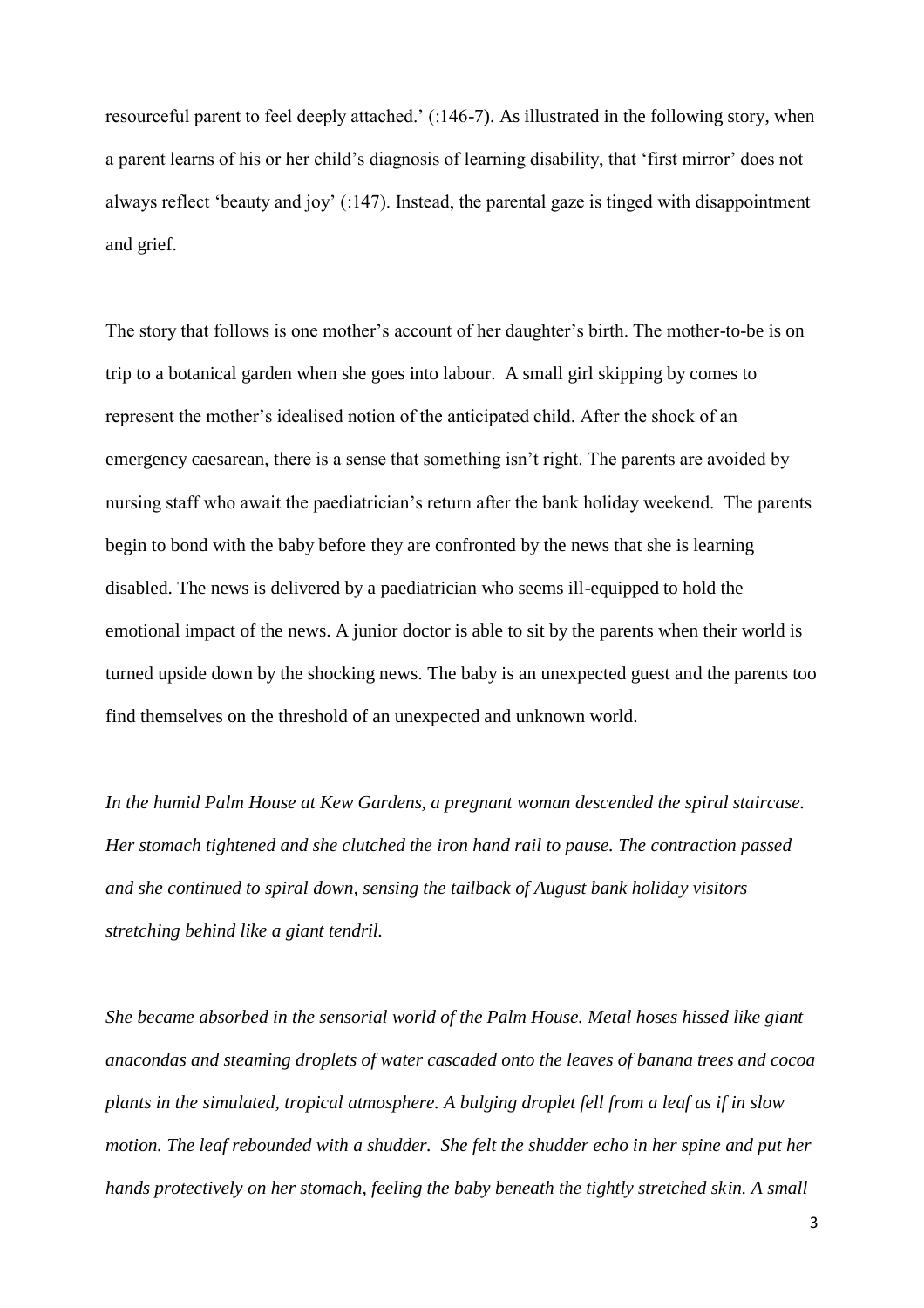resourceful parent to feel deeply attached.' (:146-7). As illustrated in the following story, when a parent learns of his or her child's diagnosis of learning disability, that 'first mirror' does not always reflect 'beauty and joy' (:147). Instead, the parental gaze is tinged with disappointment and grief.

The story that follows is one mother's account of her daughter's birth. The mother-to-be is on trip to a botanical garden when she goes into labour. A small girl skipping by comes to represent the mother's idealised notion of the anticipated child. After the shock of an emergency caesarean, there is a sense that something isn't right. The parents are avoided by nursing staff who await the paediatrician's return after the bank holiday weekend. The parents begin to bond with the baby before they are confronted by the news that she is learning disabled. The news is delivered by a paediatrician who seems ill-equipped to hold the emotional impact of the news. A junior doctor is able to sit by the parents when their world is turned upside down by the shocking news. The baby is an unexpected guest and the parents too find themselves on the threshold of an unexpected and unknown world.

*In the humid Palm House at Kew Gardens, a pregnant woman descended the spiral staircase. Her stomach tightened and she clutched the iron hand rail to pause. The contraction passed and she continued to spiral down, sensing the tailback of August bank holiday visitors stretching behind like a giant tendril.* 

*She became absorbed in the sensorial world of the Palm House. Metal hoses hissed like giant anacondas and steaming droplets of water cascaded onto the leaves of banana trees and cocoa plants in the simulated, tropical atmosphere. A bulging droplet fell from a leaf as if in slow motion. The leaf rebounded with a shudder. She felt the shudder echo in her spine and put her hands protectively on her stomach, feeling the baby beneath the tightly stretched skin. A small*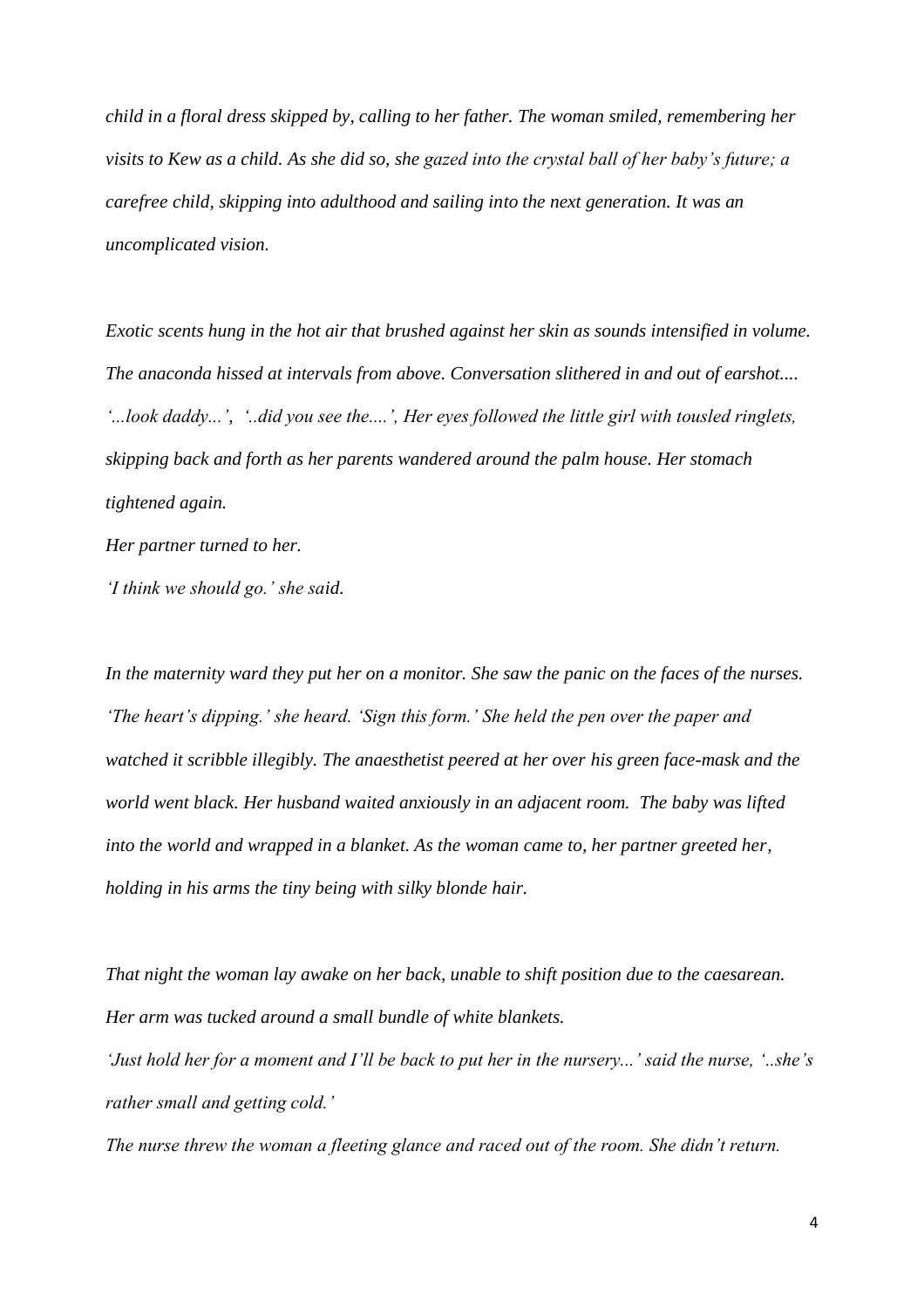*child in a floral dress skipped by, calling to her father. The woman smiled, remembering her visits to Kew as a child. As she did so, she gazed into the crystal ball of her baby's future; a carefree child, skipping into adulthood and sailing into the next generation. It was an uncomplicated vision.* 

*Exotic scents hung in the hot air that brushed against her skin as sounds intensified in volume. The anaconda hissed at intervals from above. Conversation slithered in and out of earshot.... '...look daddy...', '..did you see the....', Her eyes followed the little girl with tousled ringlets, skipping back and forth as her parents wandered around the palm house. Her stomach tightened again.* 

*Her partner turned to her.* 

*'I think we should go.' she said.* 

*In the maternity ward they put her on a monitor. She saw the panic on the faces of the nurses. 'The heart's dipping.' she heard. 'Sign this form.' She held the pen over the paper and watched it scribble illegibly. The anaesthetist peered at her over his green face-mask and the world went black. Her husband waited anxiously in an adjacent room. The baby was lifted into the world and wrapped in a blanket. As the woman came to, her partner greeted her, holding in his arms the tiny being with silky blonde hair.*

*That night the woman lay awake on her back, unable to shift position due to the caesarean. Her arm was tucked around a small bundle of white blankets.* 

*'Just hold her for a moment and I'll be back to put her in the nursery...' said the nurse, '..she's rather small and getting cold.'* 

*The nurse threw the woman a fleeting glance and raced out of the room. She didn't return.*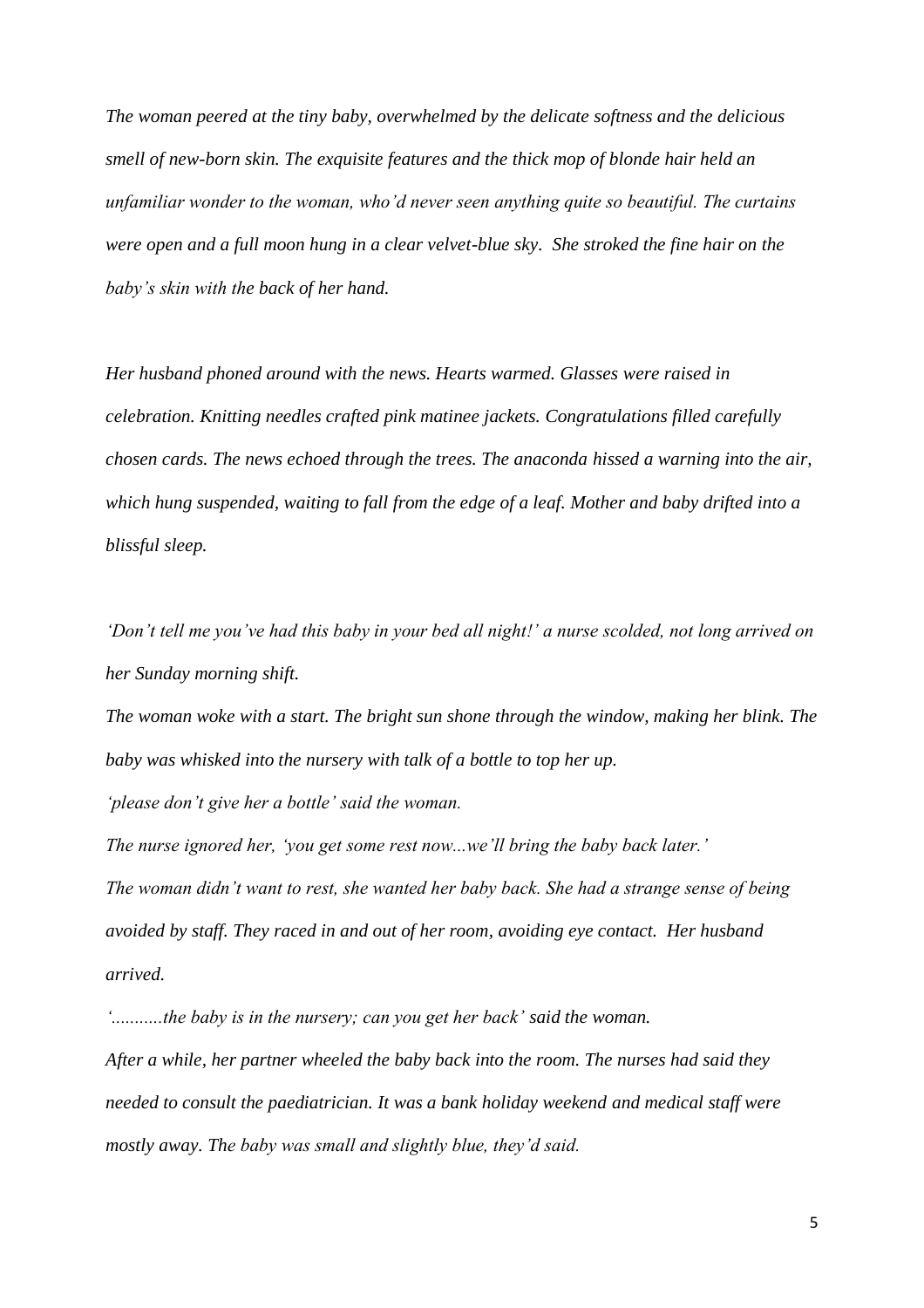*The woman peered at the tiny baby, overwhelmed by the delicate softness and the delicious smell of new-born skin. The exquisite features and the thick mop of blonde hair held an unfamiliar wonder to the woman, who'd never seen anything quite so beautiful. The curtains were open and a full moon hung in a clear velvet-blue sky. She stroked the fine hair on the baby's skin with the back of her hand.* 

*Her husband phoned around with the news. Hearts warmed. Glasses were raised in celebration. Knitting needles crafted pink matinee jackets. Congratulations filled carefully chosen cards. The news echoed through the trees. The anaconda hissed a warning into the air, which hung suspended, waiting to fall from the edge of a leaf. Mother and baby drifted into a blissful sleep.*

*'Don't tell me you've had this baby in your bed all night!' a nurse scolded, not long arrived on her Sunday morning shift.* 

*The woman woke with a start. The bright sun shone through the window, making her blink. The baby was whisked into the nursery with talk of a bottle to top her up.* 

*'please don't give her a bottle' said the woman.* 

*The nurse ignored her, 'you get some rest now...we'll bring the baby back later.' The woman didn't want to rest, she wanted her baby back. She had a strange sense of being avoided by staff. They raced in and out of her room, avoiding eye contact. Her husband arrived.* 

*'...........the baby is in the nursery; can you get her back' said the woman.*

*After a while, her partner wheeled the baby back into the room. The nurses had said they needed to consult the paediatrician. It was a bank holiday weekend and medical staff were mostly away. The baby was small and slightly blue, they'd said.*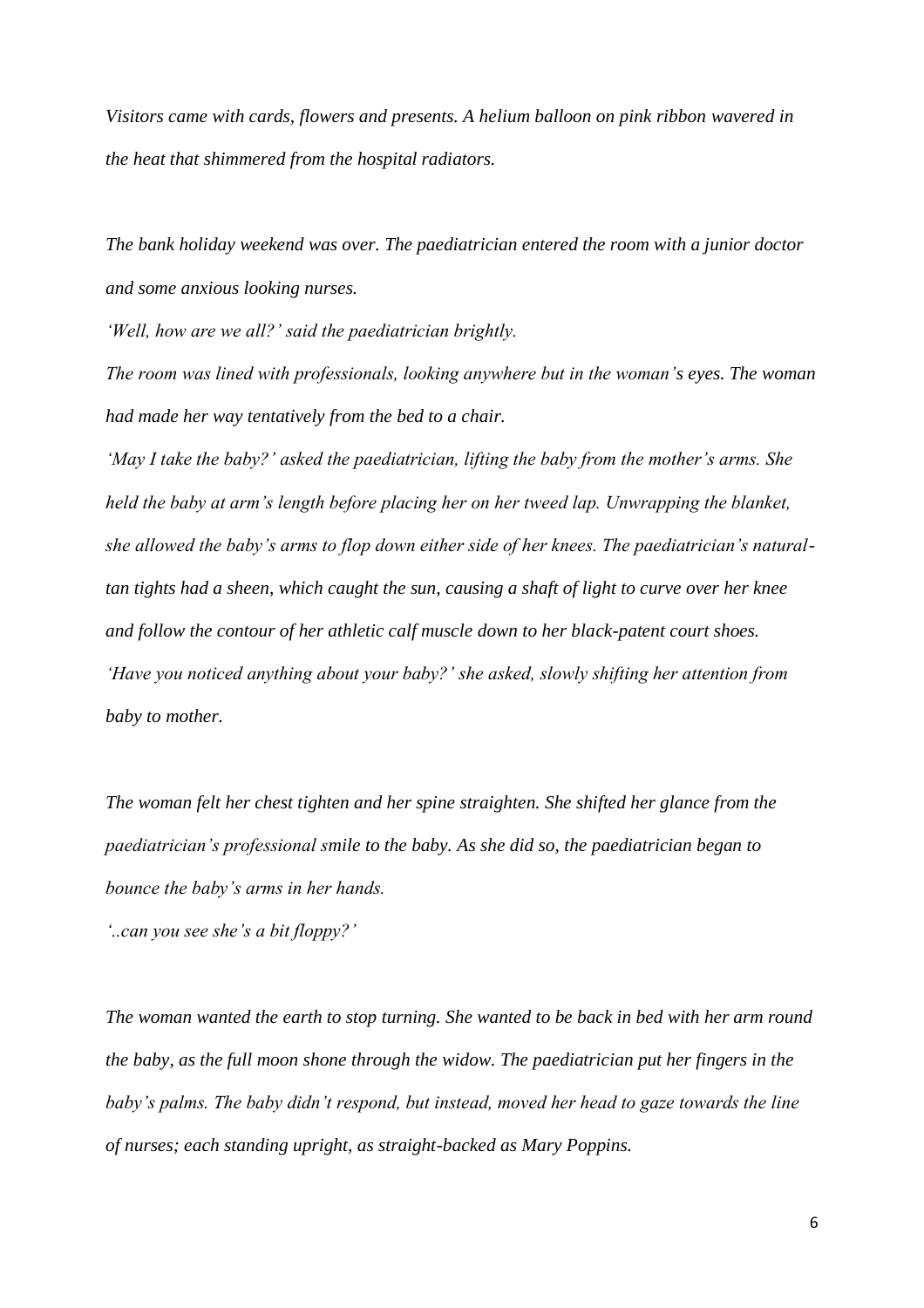*Visitors came with cards, flowers and presents. A helium balloon on pink ribbon wavered in the heat that shimmered from the hospital radiators.* 

*The bank holiday weekend was over. The paediatrician entered the room with a junior doctor and some anxious looking nurses.* 

*'Well, how are we all?' said the paediatrician brightly.* 

*The room was lined with professionals, looking anywhere but in the woman's eyes. The woman had made her way tentatively from the bed to a chair.* 

*'May I take the baby?' asked the paediatrician, lifting the baby from the mother's arms. She held the baby at arm's length before placing her on her tweed lap. Unwrapping the blanket, she allowed the baby's arms to flop down either side of her knees. The paediatrician's naturaltan tights had a sheen, which caught the sun, causing a shaft of light to curve over her knee and follow the contour of her athletic calf muscle down to her black-patent court shoes. 'Have you noticed anything about your baby?' she asked, slowly shifting her attention from baby to mother.* 

*The woman felt her chest tighten and her spine straighten. She shifted her glance from the paediatrician's professional smile to the baby. As she did so, the paediatrician began to bounce the baby's arms in her hands.* 

*'..can you see she's a bit floppy?'* 

*The woman wanted the earth to stop turning. She wanted to be back in bed with her arm round the baby, as the full moon shone through the widow. The paediatrician put her fingers in the baby's palms. The baby didn't respond, but instead, moved her head to gaze towards the line of nurses; each standing upright, as straight-backed as Mary Poppins.*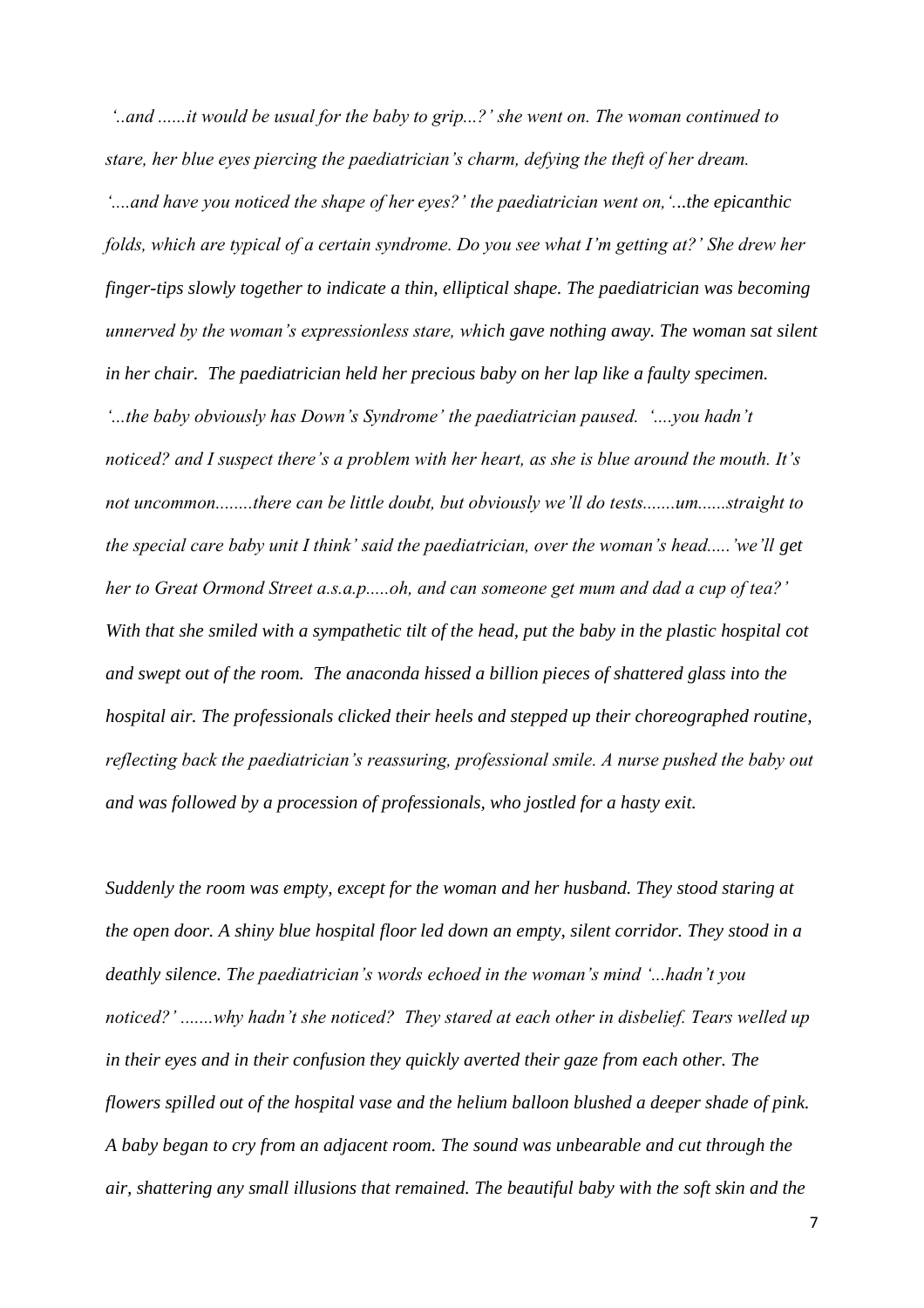*'..and ......it would be usual for the baby to grip...?' she went on. The woman continued to stare, her blue eyes piercing the paediatrician's charm, defying the theft of her dream. '....and have you noticed the shape of her eyes?' the paediatrician went on,'...the epicanthic folds, which are typical of a certain syndrome. Do you see what I'm getting at?' She drew her finger-tips slowly together to indicate a thin, elliptical shape. The paediatrician was becoming unnerved by the woman's expressionless stare, which gave nothing away. The woman sat silent in her chair. The paediatrician held her precious baby on her lap like a faulty specimen. '...the baby obviously has Down's Syndrome' the paediatrician paused. '....you hadn't noticed? and I suspect there's a problem with her heart, as she is blue around the mouth. It's not uncommon........there can be little doubt, but obviously we'll do tests.......um......straight to the special care baby unit I think' said the paediatrician, over the woman's head.....'we'll get her to Great Ormond Street a.s.a.p.....oh, and can someone get mum and dad a cup of tea?' With that she smiled with a sympathetic tilt of the head, put the baby in the plastic hospital cot and swept out of the room. The anaconda hissed a billion pieces of shattered glass into the hospital air. The professionals clicked their heels and stepped up their choreographed routine, reflecting back the paediatrician's reassuring, professional smile. A nurse pushed the baby out and was followed by a procession of professionals, who jostled for a hasty exit.* 

*Suddenly the room was empty, except for the woman and her husband. They stood staring at the open door. A shiny blue hospital floor led down an empty, silent corridor. They stood in a deathly silence. The paediatrician's words echoed in the woman's mind '...hadn't you noticed?' .......why hadn't she noticed? They stared at each other in disbelief. Tears welled up in their eyes and in their confusion they quickly averted their gaze from each other. The flowers spilled out of the hospital vase and the helium balloon blushed a deeper shade of pink. A baby began to cry from an adjacent room. The sound was unbearable and cut through the air, shattering any small illusions that remained. The beautiful baby with the soft skin and the*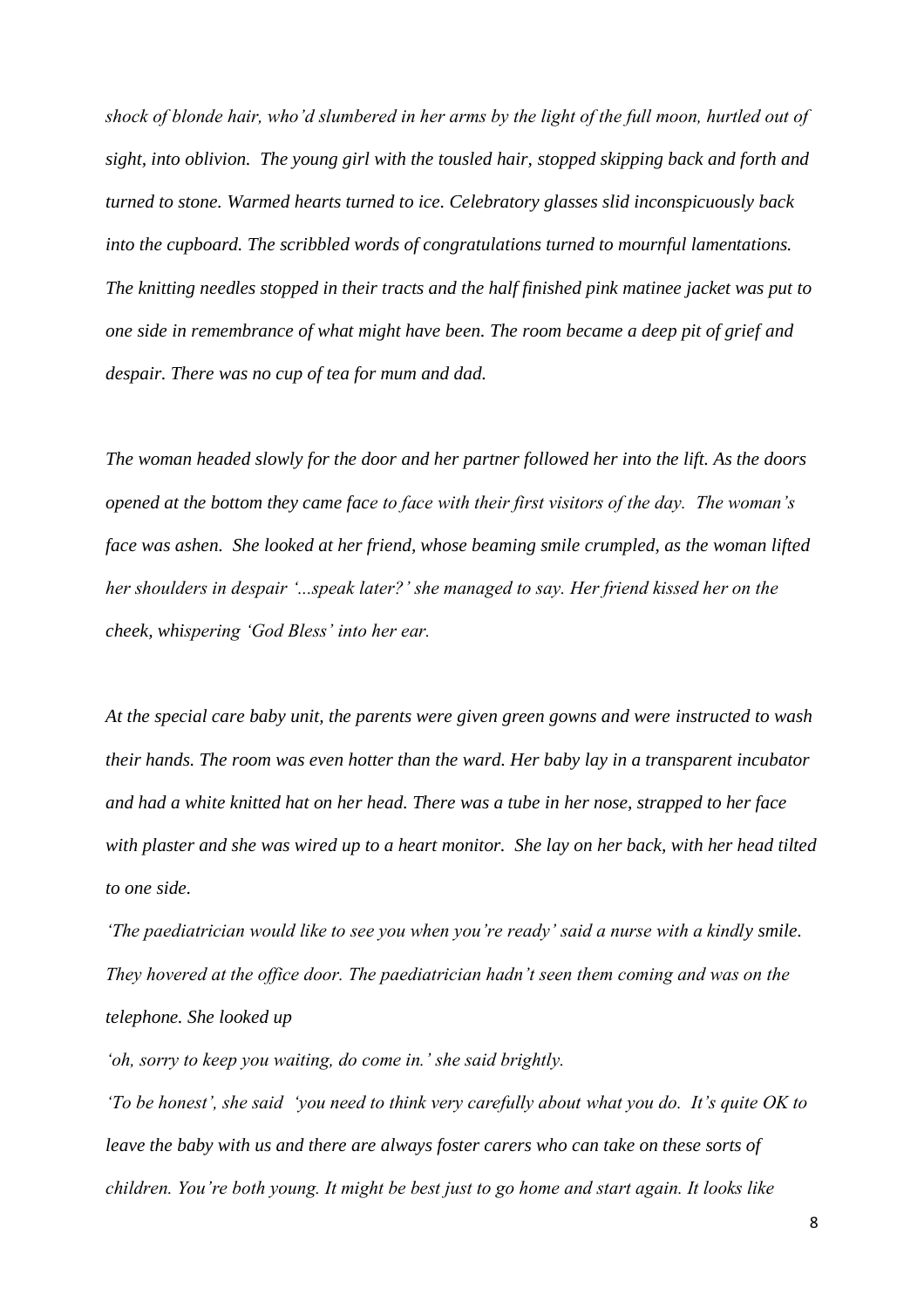*shock of blonde hair, who'd slumbered in her arms by the light of the full moon, hurtled out of sight, into oblivion. The young girl with the tousled hair, stopped skipping back and forth and turned to stone. Warmed hearts turned to ice. Celebratory glasses slid inconspicuously back into the cupboard. The scribbled words of congratulations turned to mournful lamentations. The knitting needles stopped in their tracts and the half finished pink matinee jacket was put to one side in remembrance of what might have been. The room became a deep pit of grief and despair. There was no cup of tea for mum and dad.* 

*The woman headed slowly for the door and her partner followed her into the lift. As the doors opened at the bottom they came face to face with their first visitors of the day. The woman's face was ashen. She looked at her friend, whose beaming smile crumpled, as the woman lifted her shoulders in despair '...speak later?' she managed to say. Her friend kissed her on the cheek, whispering 'God Bless' into her ear.* 

*At the special care baby unit, the parents were given green gowns and were instructed to wash their hands. The room was even hotter than the ward. Her baby lay in a transparent incubator and had a white knitted hat on her head. There was a tube in her nose, strapped to her face with plaster and she was wired up to a heart monitor. She lay on her back, with her head tilted to one side.* 

*'The paediatrician would like to see you when you're ready' said a nurse with a kindly smile. They hovered at the office door. The paediatrician hadn't seen them coming and was on the telephone. She looked up* 

*'oh, sorry to keep you waiting, do come in.' she said brightly.* 

*'To be honest', she said 'you need to think very carefully about what you do. It's quite OK to leave the baby with us and there are always foster carers who can take on these sorts of children. You're both young. It might be best just to go home and start again. It looks like*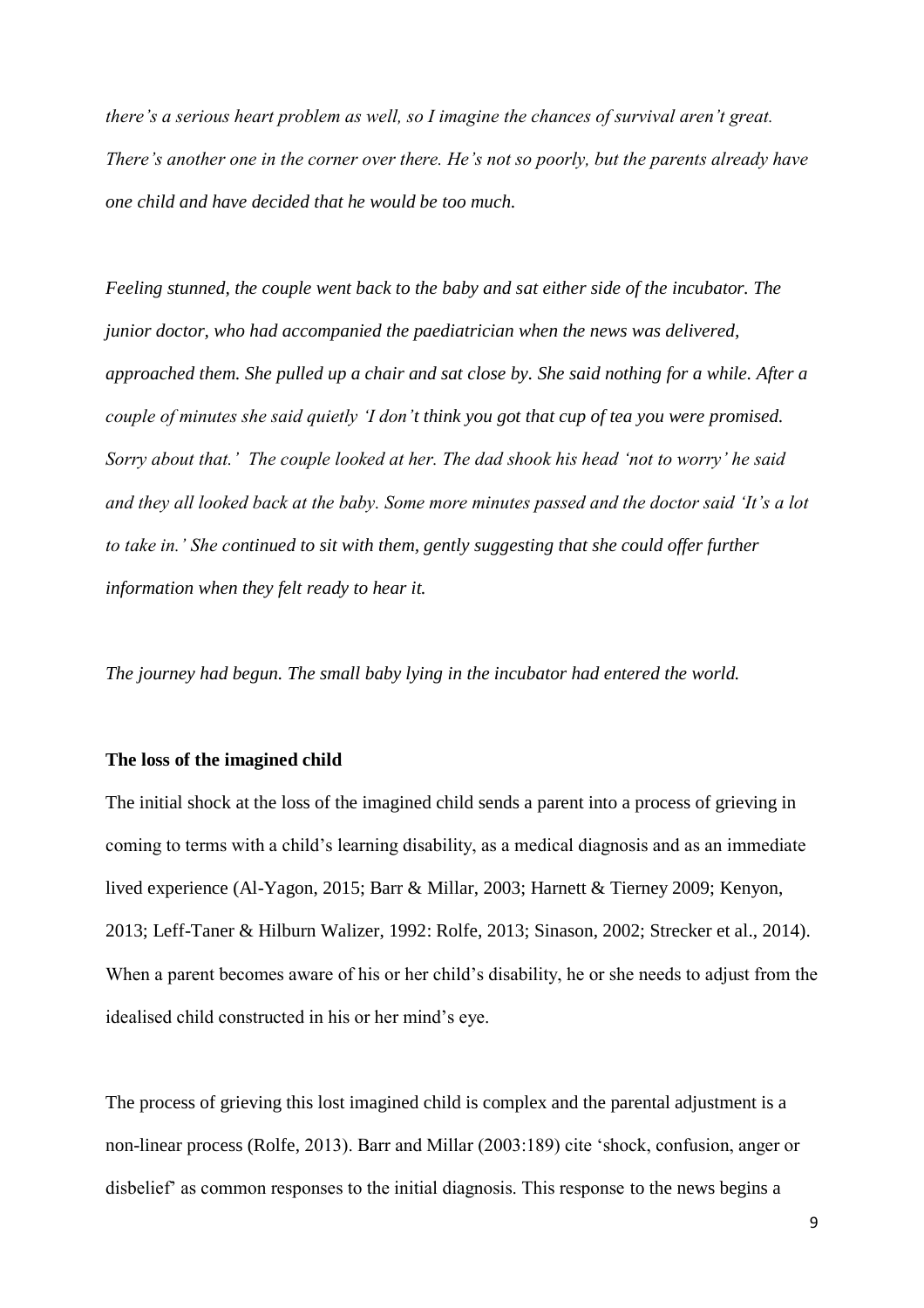*there's a serious heart problem as well, so I imagine the chances of survival aren't great. There's another one in the corner over there. He's not so poorly, but the parents already have one child and have decided that he would be too much.* 

*Feeling stunned, the couple went back to the baby and sat either side of the incubator. The junior doctor, who had accompanied the paediatrician when the news was delivered, approached them. She pulled up a chair and sat close by. She said nothing for a while. After a couple of minutes she said quietly 'I don't think you got that cup of tea you were promised. Sorry about that.' The couple looked at her. The dad shook his head 'not to worry' he said and they all looked back at the baby. Some more minutes passed and the doctor said 'It's a lot to take in.' She continued to sit with them, gently suggesting that she could offer further information when they felt ready to hear it.*

*The journey had begun. The small baby lying in the incubator had entered the world.* 

#### **The loss of the imagined child**

The initial shock at the loss of the imagined child sends a parent into a process of grieving in coming to terms with a child's learning disability, as a medical diagnosis and as an immediate lived experience (Al-Yagon, 2015; Barr & Millar, 2003; Harnett & Tierney 2009; Kenyon, 2013; Leff-Taner & Hilburn Walizer, 1992: Rolfe, 2013; Sinason, 2002; Strecker et al., 2014). When a parent becomes aware of his or her child's disability, he or she needs to adjust from the idealised child constructed in his or her mind's eye.

The process of grieving this lost imagined child is complex and the parental adjustment is a non-linear process (Rolfe, 2013). Barr and Millar (2003:189) cite 'shock, confusion, anger or disbelief' as common responses to the initial diagnosis. This response to the news begins a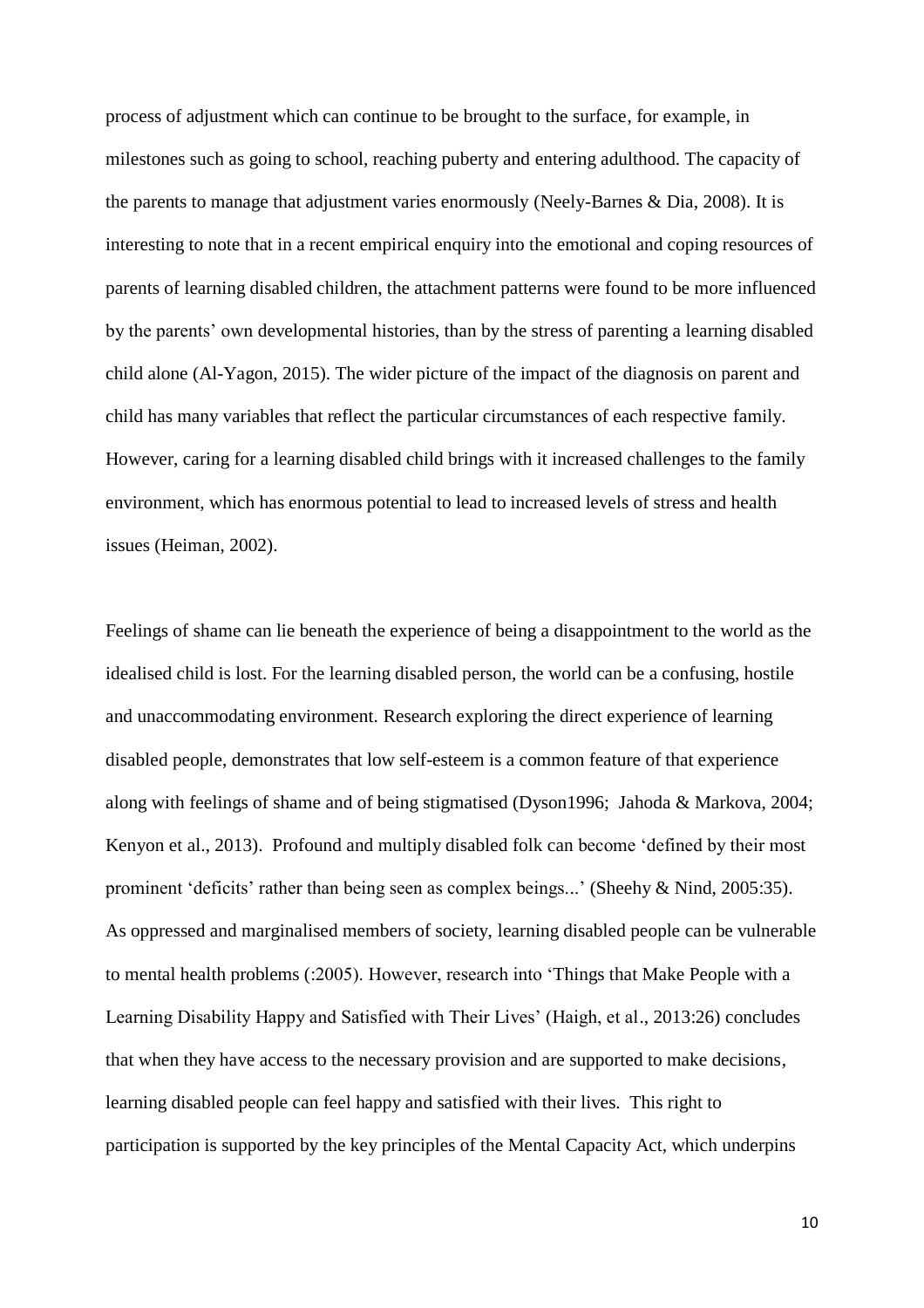process of adjustment which can continue to be brought to the surface, for example, in milestones such as going to school, reaching puberty and entering adulthood. The capacity of the parents to manage that adjustment varies enormously (Neely-Barnes & Dia, 2008). It is interesting to note that in a recent empirical enquiry into the emotional and coping resources of parents of learning disabled children, the attachment patterns were found to be more influenced by the parents' own developmental histories, than by the stress of parenting a learning disabled child alone (Al-Yagon, 2015). The wider picture of the impact of the diagnosis on parent and child has many variables that reflect the particular circumstances of each respective family. However, caring for a learning disabled child brings with it increased challenges to the family environment, which has enormous potential to lead to increased levels of stress and health issues (Heiman, 2002).

Feelings of shame can lie beneath the experience of being a disappointment to the world as the idealised child is lost. For the learning disabled person, the world can be a confusing, hostile and unaccommodating environment. Research exploring the direct experience of learning disabled people, demonstrates that low self-esteem is a common feature of that experience along with feelings of shame and of being stigmatised (Dyson1996; Jahoda & Markova, 2004; Kenyon et al., 2013). Profound and multiply disabled folk can become 'defined by their most prominent 'deficits' rather than being seen as complex beings...' (Sheehy & Nind, 2005:35). As oppressed and marginalised members of society, learning disabled people can be vulnerable to mental health problems (:2005). However, research into 'Things that Make People with a Learning Disability Happy and Satisfied with Their Lives' (Haigh, et al., 2013:26) concludes that when they have access to the necessary provision and are supported to make decisions, learning disabled people can feel happy and satisfied with their lives. This right to participation is supported by the key principles of the Mental Capacity Act, which underpins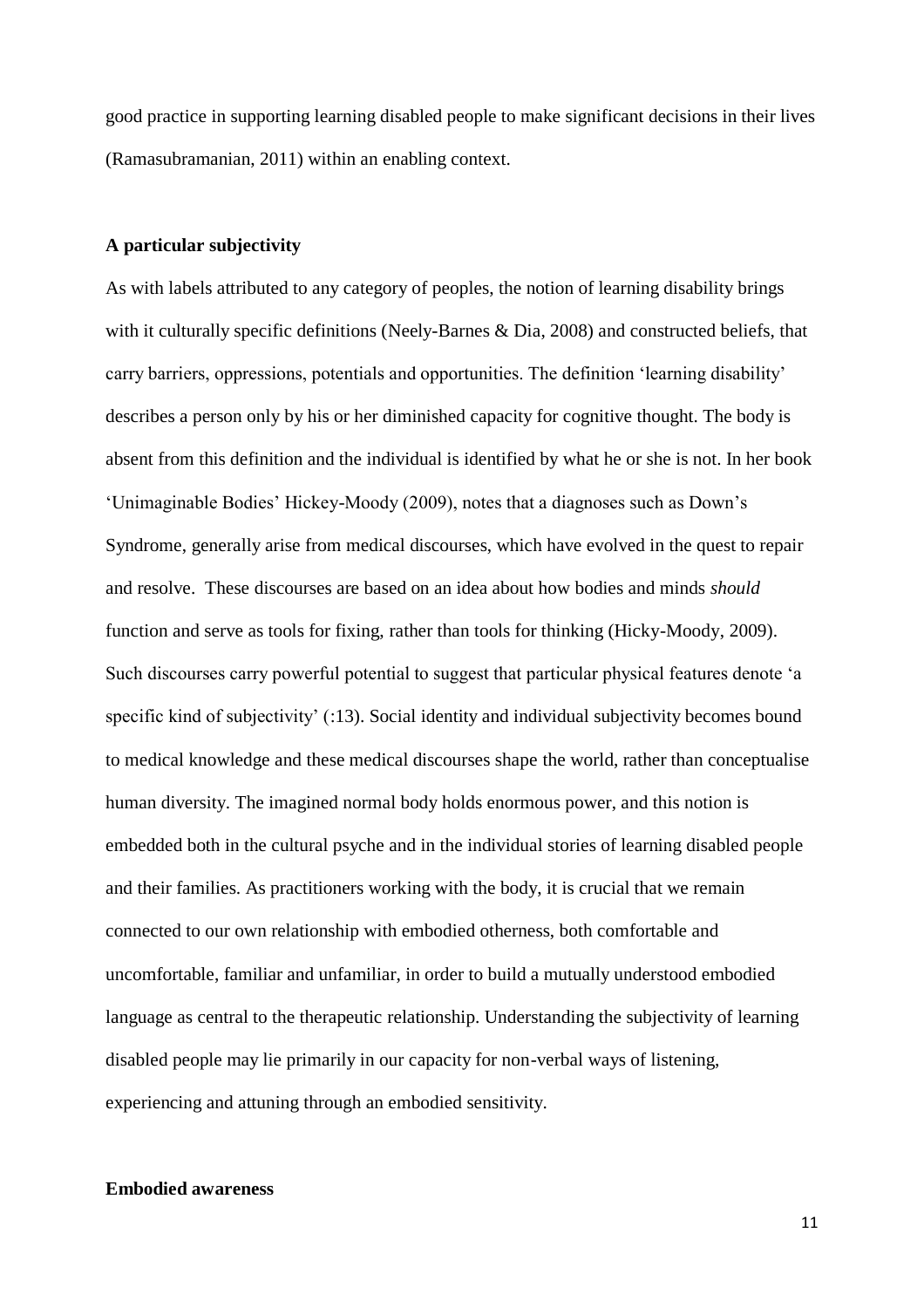good practice in supporting learning disabled people to make significant decisions in their lives (Ramasubramanian, 2011) within an enabling context.

#### **A particular subjectivity**

As with labels attributed to any category of peoples, the notion of learning disability brings with it culturally specific definitions (Neely-Barnes & Dia, 2008) and constructed beliefs, that carry barriers, oppressions, potentials and opportunities. The definition 'learning disability' describes a person only by his or her diminished capacity for cognitive thought. The body is absent from this definition and the individual is identified by what he or she is not. In her book 'Unimaginable Bodies' Hickey-Moody (2009), notes that a diagnoses such as Down's Syndrome, generally arise from medical discourses, which have evolved in the quest to repair and resolve. These discourses are based on an idea about how bodies and minds *should* function and serve as tools for fixing, rather than tools for thinking (Hicky-Moody, 2009). Such discourses carry powerful potential to suggest that particular physical features denote 'a specific kind of subjectivity' (:13). Social identity and individual subjectivity becomes bound to medical knowledge and these medical discourses shape the world, rather than conceptualise human diversity. The imagined normal body holds enormous power, and this notion is embedded both in the cultural psyche and in the individual stories of learning disabled people and their families. As practitioners working with the body, it is crucial that we remain connected to our own relationship with embodied otherness, both comfortable and uncomfortable, familiar and unfamiliar, in order to build a mutually understood embodied language as central to the therapeutic relationship. Understanding the subjectivity of learning disabled people may lie primarily in our capacity for non-verbal ways of listening, experiencing and attuning through an embodied sensitivity.

## **Embodied awareness**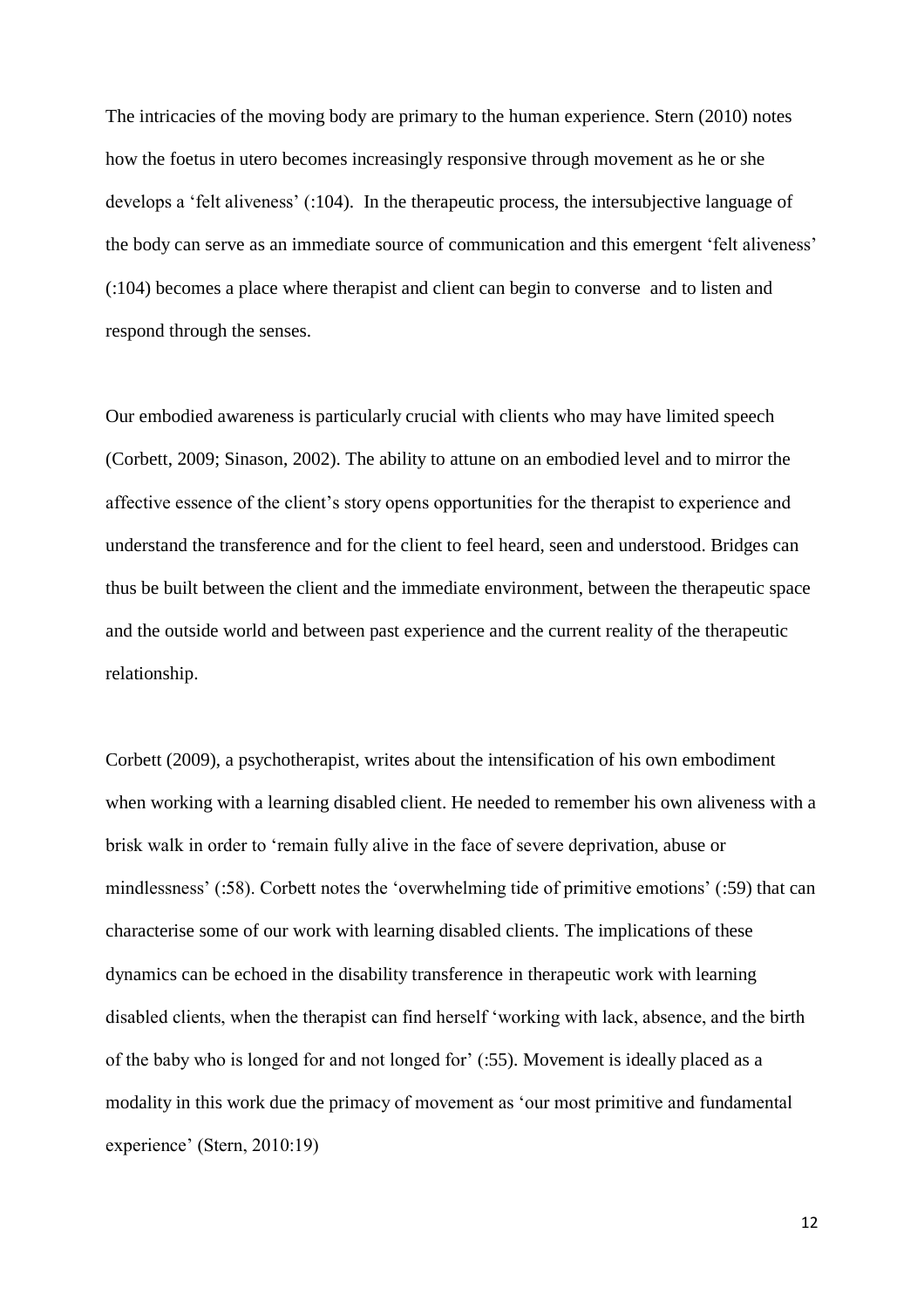The intricacies of the moving body are primary to the human experience. Stern (2010) notes how the foetus in utero becomes increasingly responsive through movement as he or she develops a 'felt aliveness' (:104). In the therapeutic process, the intersubjective language of the body can serve as an immediate source of communication and this emergent 'felt aliveness' (:104) becomes a place where therapist and client can begin to converse and to listen and respond through the senses.

Our embodied awareness is particularly crucial with clients who may have limited speech (Corbett, 2009; Sinason, 2002). The ability to attune on an embodied level and to mirror the affective essence of the client's story opens opportunities for the therapist to experience and understand the transference and for the client to feel heard, seen and understood. Bridges can thus be built between the client and the immediate environment, between the therapeutic space and the outside world and between past experience and the current reality of the therapeutic relationship.

Corbett (2009), a psychotherapist, writes about the intensification of his own embodiment when working with a learning disabled client. He needed to remember his own aliveness with a brisk walk in order to 'remain fully alive in the face of severe deprivation, abuse or mindlessness' (:58). Corbett notes the 'overwhelming tide of primitive emotions' (:59) that can characterise some of our work with learning disabled clients. The implications of these dynamics can be echoed in the disability transference in therapeutic work with learning disabled clients, when the therapist can find herself 'working with lack, absence, and the birth of the baby who is longed for and not longed for' (:55). Movement is ideally placed as a modality in this work due the primacy of movement as 'our most primitive and fundamental experience' (Stern, 2010:19)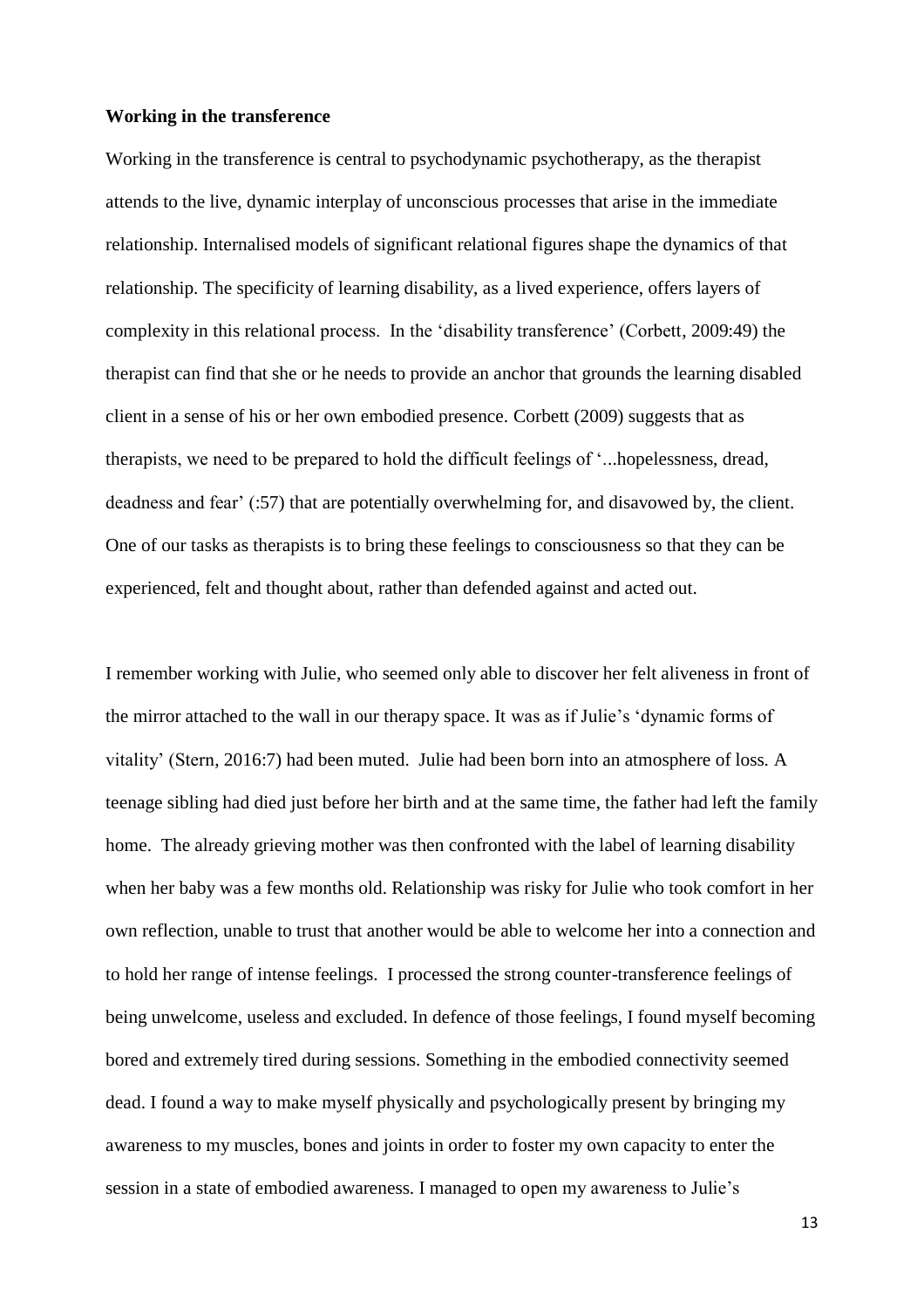#### **Working in the transference**

Working in the transference is central to psychodynamic psychotherapy, as the therapist attends to the live, dynamic interplay of unconscious processes that arise in the immediate relationship. Internalised models of significant relational figures shape the dynamics of that relationship. The specificity of learning disability, as a lived experience, offers layers of complexity in this relational process. In the 'disability transference' (Corbett, 2009:49) the therapist can find that she or he needs to provide an anchor that grounds the learning disabled client in a sense of his or her own embodied presence. Corbett (2009) suggests that as therapists, we need to be prepared to hold the difficult feelings of '...hopelessness, dread, deadness and fear' (:57) that are potentially overwhelming for, and disavowed by, the client. One of our tasks as therapists is to bring these feelings to consciousness so that they can be experienced, felt and thought about, rather than defended against and acted out.

I remember working with Julie, who seemed only able to discover her felt aliveness in front of the mirror attached to the wall in our therapy space. It was as if Julie's 'dynamic forms of vitality' (Stern, 2016:7) had been muted. Julie had been born into an atmosphere of loss. A teenage sibling had died just before her birth and at the same time, the father had left the family home. The already grieving mother was then confronted with the label of learning disability when her baby was a few months old. Relationship was risky for Julie who took comfort in her own reflection, unable to trust that another would be able to welcome her into a connection and to hold her range of intense feelings. I processed the strong counter-transference feelings of being unwelcome, useless and excluded. In defence of those feelings, I found myself becoming bored and extremely tired during sessions. Something in the embodied connectivity seemed dead. I found a way to make myself physically and psychologically present by bringing my awareness to my muscles, bones and joints in order to foster my own capacity to enter the session in a state of embodied awareness. I managed to open my awareness to Julie's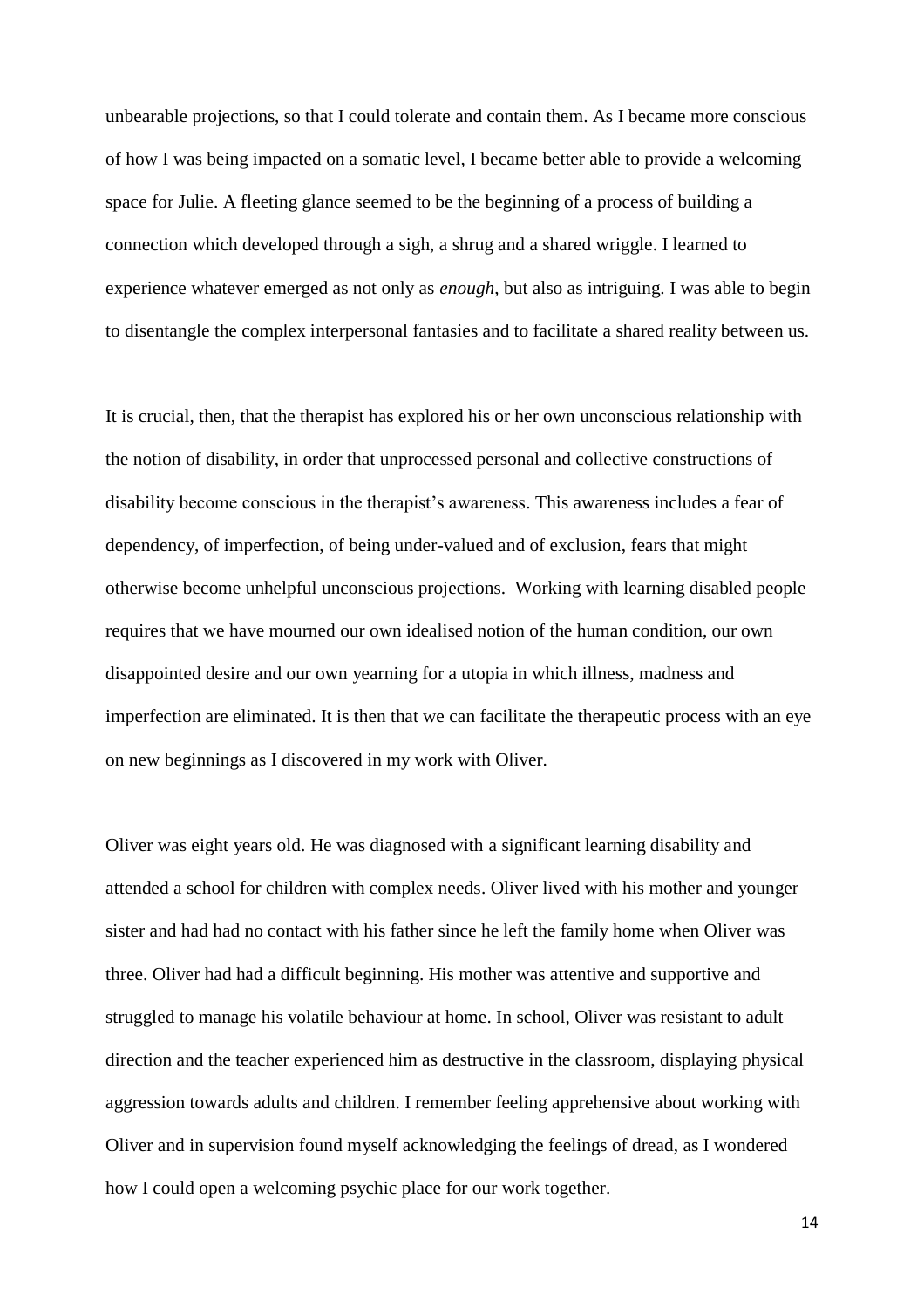unbearable projections, so that I could tolerate and contain them. As I became more conscious of how I was being impacted on a somatic level, I became better able to provide a welcoming space for Julie. A fleeting glance seemed to be the beginning of a process of building a connection which developed through a sigh, a shrug and a shared wriggle. I learned to experience whatever emerged as not only as *enough*, but also as intriguing. I was able to begin to disentangle the complex interpersonal fantasies and to facilitate a shared reality between us.

It is crucial, then, that the therapist has explored his or her own unconscious relationship with the notion of disability, in order that unprocessed personal and collective constructions of disability become conscious in the therapist's awareness. This awareness includes a fear of dependency, of imperfection, of being under-valued and of exclusion, fears that might otherwise become unhelpful unconscious projections. Working with learning disabled people requires that we have mourned our own idealised notion of the human condition, our own disappointed desire and our own yearning for a utopia in which illness, madness and imperfection are eliminated. It is then that we can facilitate the therapeutic process with an eye on new beginnings as I discovered in my work with Oliver.

Oliver was eight years old. He was diagnosed with a significant learning disability and attended a school for children with complex needs. Oliver lived with his mother and younger sister and had had no contact with his father since he left the family home when Oliver was three. Oliver had had a difficult beginning. His mother was attentive and supportive and struggled to manage his volatile behaviour at home. In school, Oliver was resistant to adult direction and the teacher experienced him as destructive in the classroom, displaying physical aggression towards adults and children. I remember feeling apprehensive about working with Oliver and in supervision found myself acknowledging the feelings of dread, as I wondered how I could open a welcoming psychic place for our work together.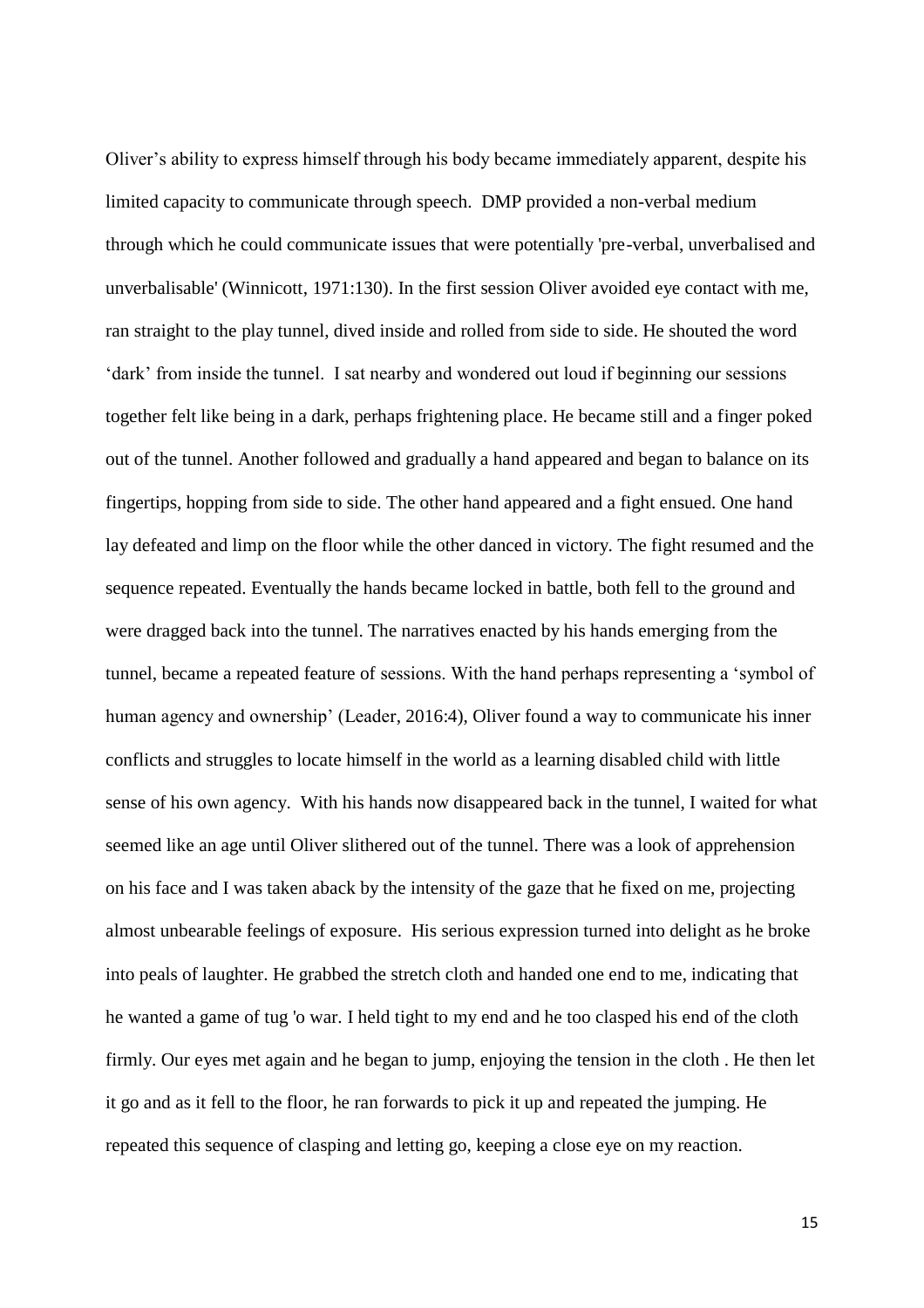Oliver's ability to express himself through his body became immediately apparent, despite his limited capacity to communicate through speech. DMP provided a non-verbal medium through which he could communicate issues that were potentially 'pre-verbal, unverbalised and unverbalisable' (Winnicott, 1971:130). In the first session Oliver avoided eye contact with me, ran straight to the play tunnel, dived inside and rolled from side to side. He shouted the word 'dark' from inside the tunnel. I sat nearby and wondered out loud if beginning our sessions together felt like being in a dark, perhaps frightening place. He became still and a finger poked out of the tunnel. Another followed and gradually a hand appeared and began to balance on its fingertips, hopping from side to side. The other hand appeared and a fight ensued. One hand lay defeated and limp on the floor while the other danced in victory. The fight resumed and the sequence repeated. Eventually the hands became locked in battle, both fell to the ground and were dragged back into the tunnel. The narratives enacted by his hands emerging from the tunnel, became a repeated feature of sessions. With the hand perhaps representing a 'symbol of human agency and ownership' (Leader, 2016:4), Oliver found a way to communicate his inner conflicts and struggles to locate himself in the world as a learning disabled child with little sense of his own agency. With his hands now disappeared back in the tunnel, I waited for what seemed like an age until Oliver slithered out of the tunnel. There was a look of apprehension on his face and I was taken aback by the intensity of the gaze that he fixed on me, projecting almost unbearable feelings of exposure. His serious expression turned into delight as he broke into peals of laughter. He grabbed the stretch cloth and handed one end to me, indicating that he wanted a game of tug 'o war. I held tight to my end and he too clasped his end of the cloth firmly. Our eyes met again and he began to jump, enjoying the tension in the cloth . He then let it go and as it fell to the floor, he ran forwards to pick it up and repeated the jumping. He repeated this sequence of clasping and letting go, keeping a close eye on my reaction.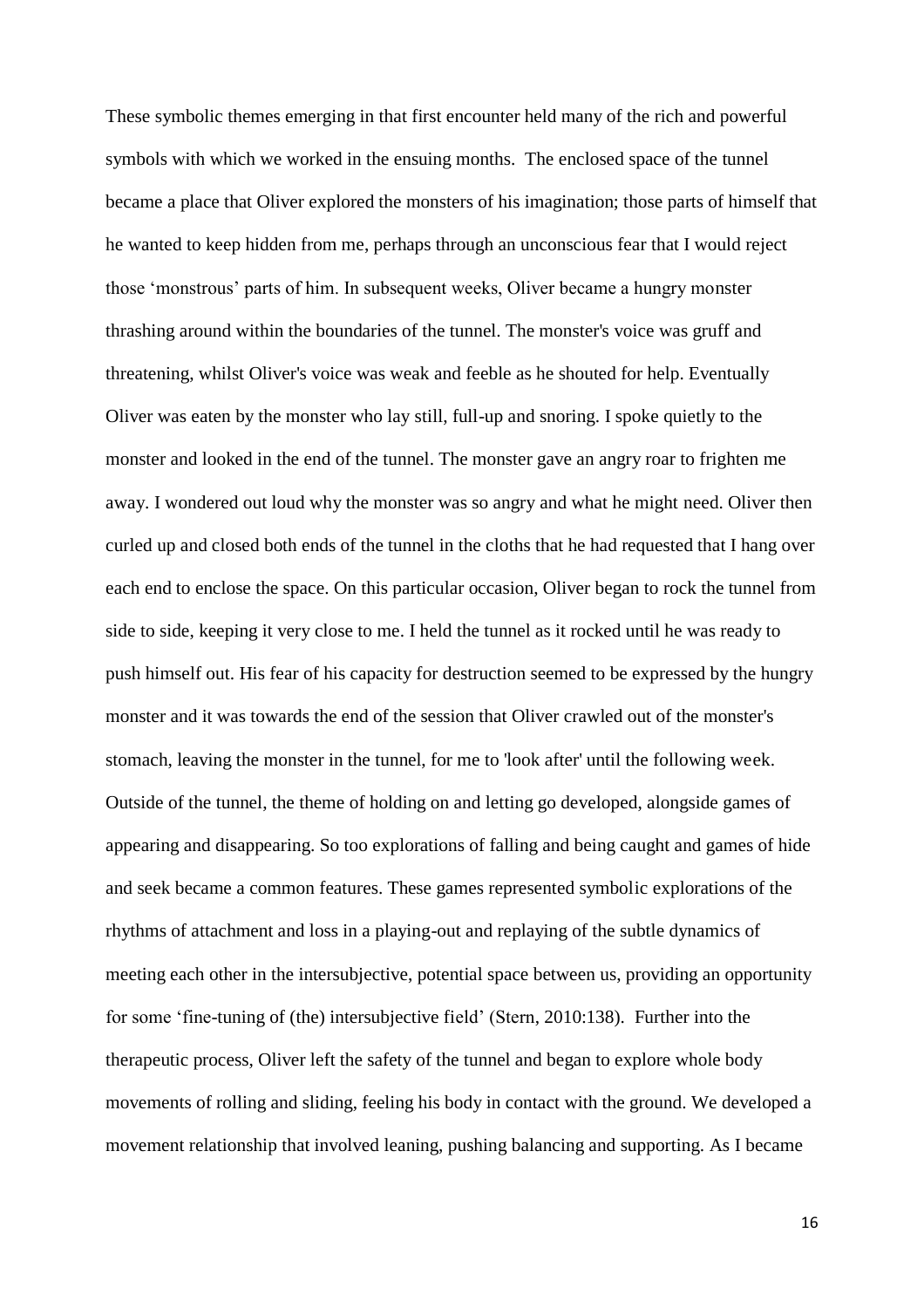These symbolic themes emerging in that first encounter held many of the rich and powerful symbols with which we worked in the ensuing months. The enclosed space of the tunnel became a place that Oliver explored the monsters of his imagination; those parts of himself that he wanted to keep hidden from me, perhaps through an unconscious fear that I would reject those 'monstrous' parts of him. In subsequent weeks, Oliver became a hungry monster thrashing around within the boundaries of the tunnel. The monster's voice was gruff and threatening, whilst Oliver's voice was weak and feeble as he shouted for help. Eventually Oliver was eaten by the monster who lay still, full-up and snoring. I spoke quietly to the monster and looked in the end of the tunnel. The monster gave an angry roar to frighten me away. I wondered out loud why the monster was so angry and what he might need. Oliver then curled up and closed both ends of the tunnel in the cloths that he had requested that I hang over each end to enclose the space. On this particular occasion, Oliver began to rock the tunnel from side to side, keeping it very close to me. I held the tunnel as it rocked until he was ready to push himself out. His fear of his capacity for destruction seemed to be expressed by the hungry monster and it was towards the end of the session that Oliver crawled out of the monster's stomach, leaving the monster in the tunnel, for me to 'look after' until the following week. Outside of the tunnel, the theme of holding on and letting go developed, alongside games of appearing and disappearing. So too explorations of falling and being caught and games of hide and seek became a common features. These games represented symbolic explorations of the rhythms of attachment and loss in a playing-out and replaying of the subtle dynamics of meeting each other in the intersubjective, potential space between us, providing an opportunity for some 'fine-tuning of (the) intersubjective field' (Stern, 2010:138). Further into the therapeutic process, Oliver left the safety of the tunnel and began to explore whole body movements of rolling and sliding, feeling his body in contact with the ground. We developed a movement relationship that involved leaning, pushing balancing and supporting. As I became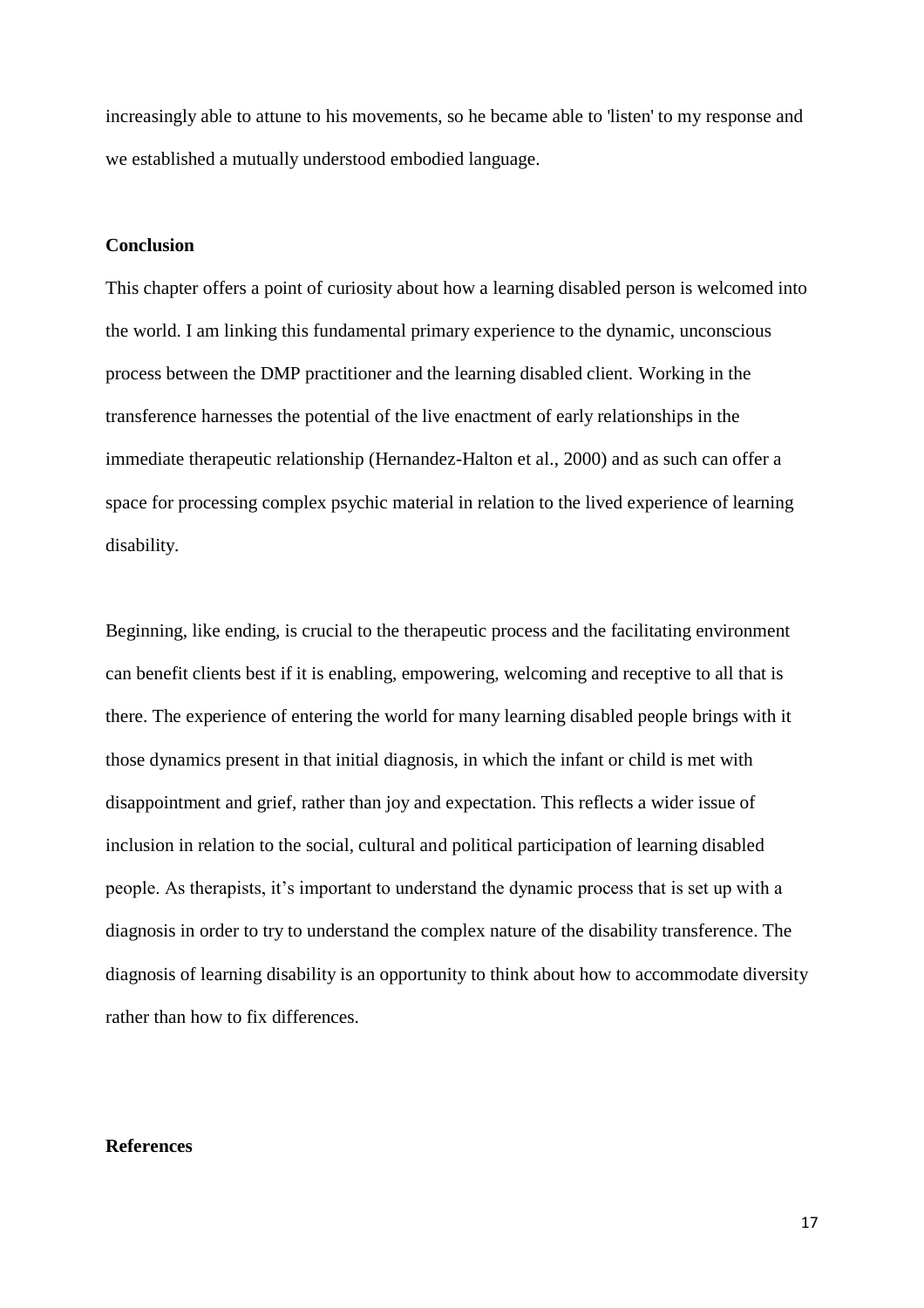increasingly able to attune to his movements, so he became able to 'listen' to my response and we established a mutually understood embodied language.

#### **Conclusion**

This chapter offers a point of curiosity about how a learning disabled person is welcomed into the world. I am linking this fundamental primary experience to the dynamic, unconscious process between the DMP practitioner and the learning disabled client. Working in the transference harnesses the potential of the live enactment of early relationships in the immediate therapeutic relationship (Hernandez-Halton et al., 2000) and as such can offer a space for processing complex psychic material in relation to the lived experience of learning disability.

Beginning, like ending, is crucial to the therapeutic process and the facilitating environment can benefit clients best if it is enabling, empowering, welcoming and receptive to all that is there. The experience of entering the world for many learning disabled people brings with it those dynamics present in that initial diagnosis, in which the infant or child is met with disappointment and grief, rather than joy and expectation. This reflects a wider issue of inclusion in relation to the social, cultural and political participation of learning disabled people. As therapists, it's important to understand the dynamic process that is set up with a diagnosis in order to try to understand the complex nature of the disability transference. The diagnosis of learning disability is an opportunity to think about how to accommodate diversity rather than how to fix differences.

#### **References**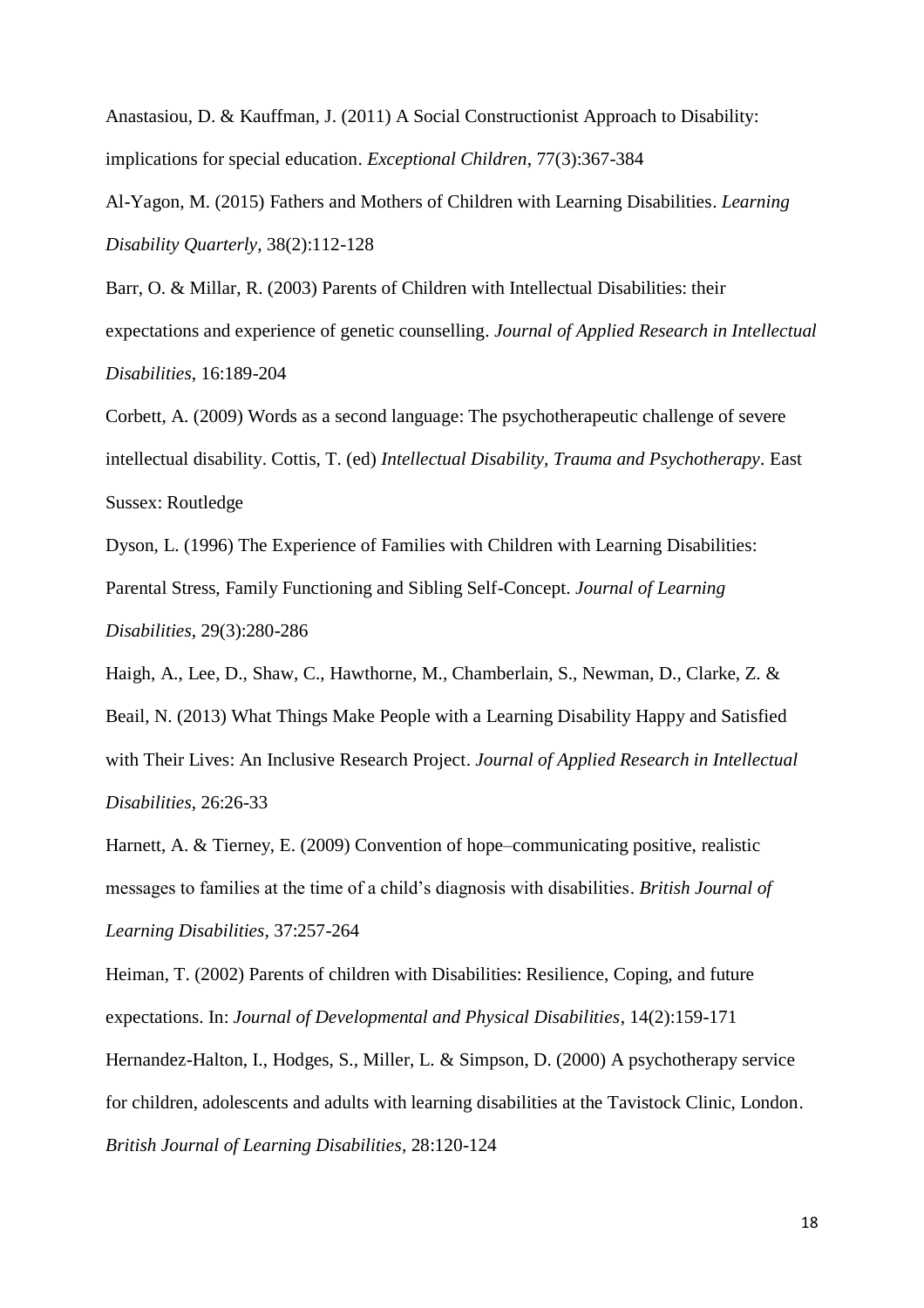Anastasiou, D. & Kauffman, J. (2011) A Social Constructionist Approach to Disability: implications for special education. *Exceptional Children*, 77(3):367-384

Al-Yagon, M. (2015) Fathers and Mothers of Children with Learning Disabilities. *Learning Disability Quarterly*, 38(2):112-128

Barr, O. & Millar, R. (2003) Parents of Children with Intellectual Disabilities: their expectations and experience of genetic counselling. *Journal of Applied Research in Intellectual Disabilities*, 16:189-204

Corbett, A. (2009) Words as a second language: The psychotherapeutic challenge of severe intellectual disability. Cottis, T. (ed) *Intellectual Disability, Trauma and Psychotherapy.* East Sussex: Routledge

Dyson, L. (1996) The Experience of Families with Children with Learning Disabilities: Parental Stress, Family Functioning and Sibling Self-Concept. *Journal of Learning Disabilities*, 29(3):280-286

Haigh, A., Lee, D., Shaw, C., Hawthorne, M., Chamberlain, S., Newman, D., Clarke, Z. & Beail, N. (2013) What Things Make People with a Learning Disability Happy and Satisfied with Their Lives: An Inclusive Research Project. *Journal of Applied Research in Intellectual Disabilities*, 26:26-33

Harnett, A. & Tierney, E. (2009) Convention of hope–communicating positive, realistic messages to families at the time of a child's diagnosis with disabilities. *British Journal of Learning Disabilities*, 37:257-264

Heiman, T. (2002) Parents of children with Disabilities: Resilience, Coping, and future expectations. In: *Journal of Developmental and Physical Disabilities*, 14(2):159-171

Hernandez-Halton, I., Hodges, S., Miller, L. & Simpson, D. (2000) A psychotherapy service for children, adolescents and adults with learning disabilities at the Tavistock Clinic, London. *British Journal of Learning Disabilities*, 28:120-124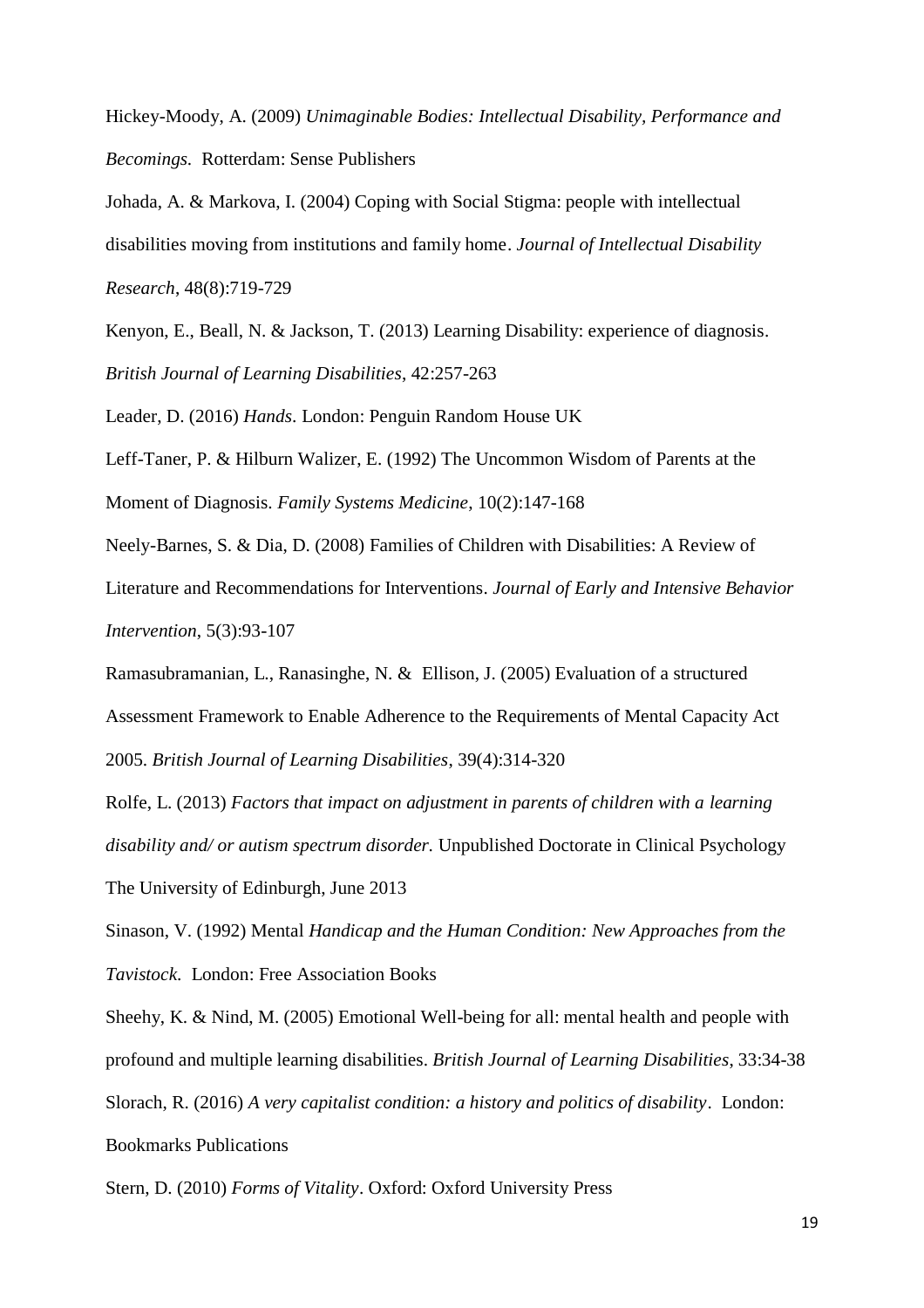Hickey-Moody, A. (2009) *Unimaginable Bodies: Intellectual Disability, Performance and Becomings.* Rotterdam: Sense Publishers

Johada, A. & Markova, I. (2004) Coping with Social Stigma: people with intellectual disabilities moving from institutions and family home. *Journal of Intellectual Disability Research*, 48(8):719-729

Kenyon, E., Beall, N. & Jackson, T. (2013) Learning Disability: experience of diagnosis. *British Journal of Learning Disabilities*, 42:257-263

Leader, D. (2016) *Hands*. London: Penguin Random House UK

Leff-Taner, P. & Hilburn Walizer, E. (1992) The Uncommon Wisdom of Parents at the Moment of Diagnosis. *Family Systems Medicine*, 10(2):147-168

Neely-Barnes, S. & Dia, D. (2008) Families of Children with Disabilities: A Review of Literature and Recommendations for Interventions. *Journal of Early and Intensive Behavior* 

*Intervention*, 5(3):93-107

Ramasubramanian, L., Ranasinghe, N. & Ellison, J. (2005) Evaluation of a structured Assessment Framework to Enable Adherence to the Requirements of Mental Capacity Act 2005. *British Journal of Learning Disabilities*, 39(4):314-320

Rolfe, L. (2013) *Factors that impact on adjustment in parents of children with a learning disability and/ or autism spectrum disorder.* Unpublished Doctorate in Clinical Psychology The University of Edinburgh, June 2013

Sinason, V. (1992) Mental *Handicap and the Human Condition: New Approaches from the Tavistock.* London: Free Association Books

Sheehy, K. & Nind, M. (2005) Emotional Well-being for all: mental health and people with profound and multiple learning disabilities. *British Journal of Learning Disabilities*, 33:34-38 Slorach, R. (2016) *A very capitalist condition: a history and politics of disability*.London: Bookmarks Publications

Stern, D. (2010) *Forms of Vitality*. Oxford: Oxford University Press